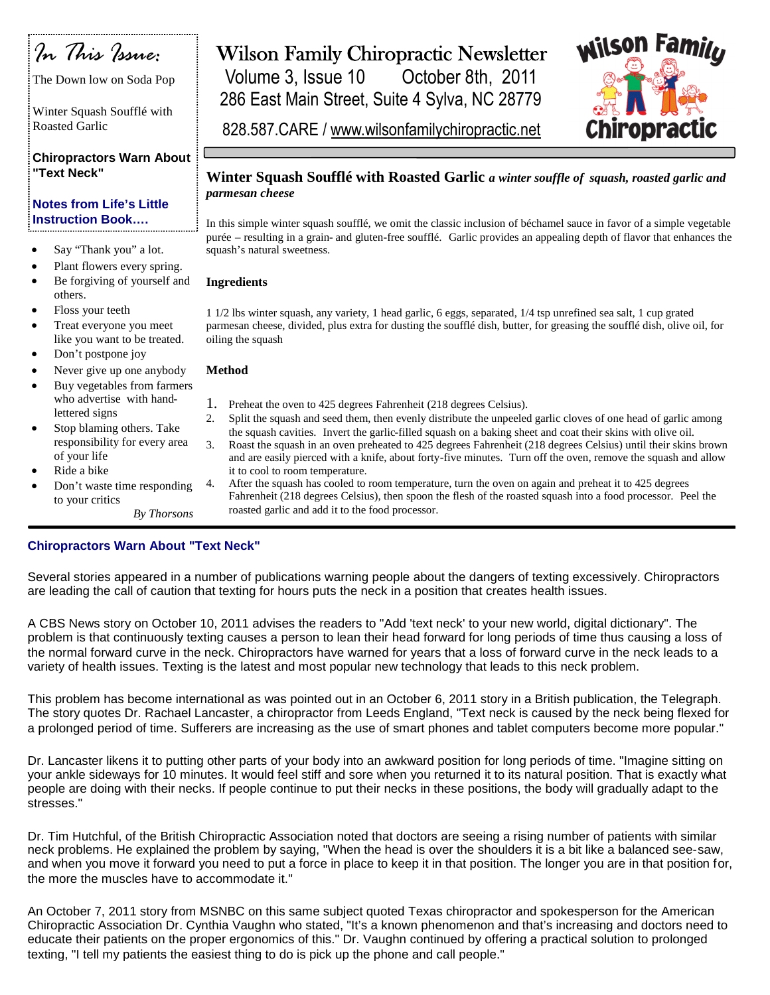

The Down low on Soda Pop

Winter Squash Soufflé with Roasted Garlic

**Chiropractors Warn About "Text Neck"**

### **Notes from Life's Little Instruction Book….**

- Say "Thank you" a lot.
- Plant flowers every spring.
- Be forgiving of yourself and others.
- Floss your teeth
- Treat everyone you meet like you want to be treated.
- Don't postpone joy
- Never give up one anybody
- Buy vegetables from farmers who advertise with handlettered signs
- Stop blaming others. Take responsibility for every area of your life
- Ride a bike
- Don't waste time responding to your critics

#### *By Thorsons*

# Wilson Family Chiropractic Newsletter

Volume 3, Issue 10 October 8th, 2011 286 East Main Street, Suite 4 Sylva, NC 28779 wilson hirobra

828.587.CARE / www.wilsonfamilychiropractic.net

### **Winter Squash Soufflé with Roasted Garlic** *a winter souffle of squash, roasted garlic and parmesan cheese*

In this simple winter squash soufflé, we omit the classic inclusion of béchamel sauce in favor of a simple vegetable purée – resulting in a grain- and gluten-free soufflé. Garlic provides an appealing depth of flavor that enhances the squash's natural sweetness.

#### **Ingredients**

1 1/2 lbs winter squash, any variety, 1 head garlic, 6 eggs, separated, 1/4 tsp unrefined sea salt, 1 cup grated parmesan cheese, divided, plus extra for dusting the soufflé dish, butter, for greasing the soufflé dish, olive oil, for oiling the squash

#### **Method**

- 1. Preheat the oven to 425 degrees Fahrenheit (218 degrees Celsius).
- 2. Split the squash and seed them, then evenly distribute the unpeeled garlic cloves of one head of garlic among the squash cavities. Invert the garlic-filled squash on a baking sheet and coat their skins with olive oil.
- 3. Roast the squash in an oven preheated to 425 degrees Fahrenheit (218 degrees Celsius) until their skins brown and are easily pierced with a knife, about forty-five minutes. Turn off the oven, remove the squash and allow it to cool to room temperature.
- 4. After the squash has cooled to room temperature, turn the oven on again and preheat it to 425 degrees Fahrenheit (218 degrees Celsius), then spoon the flesh of the roasted squash into a food processor. Peel the roasted garlic and add it to the food processor.

## **Chiropractors Warn About "Text Neck"**

Several stories appeared in a number of publications warning people about the dangers of texting excessively. Chiropractors are leading the call of caution that texting for hours puts the neck in a position that creates health issues.

A CBS News story on October 10, 2011 advises the readers to "Add 'text neck' to your new world, digital dictionary". The problem is that continuously texting causes a person to lean their head forward for long periods of time thus causing a loss of the normal forward curve in the neck. Chiropractors have warned for years that a loss of forward curve in the neck leads to a variety of health issues. Texting is the latest and most popular new technology that leads to this neck problem.

This problem has become international as was pointed out in an October 6, 2011 story in a British publication, the Telegraph. The story quotes Dr. Rachael Lancaster, a chiropractor from Leeds England, "Text neck is caused by the neck being flexed for a prolonged period of time. Sufferers are increasing as the use of smart phones and tablet computers become more popular."

Dr. Lancaster likens it to putting other parts of your body into an awkward position for long periods of time. "Imagine sitting on your ankle sideways for 10 minutes. It would feel stiff and sore when you returned it to its natural position. That is exactly what people are doing with their necks. If people continue to put their necks in these positions, the body will gradually adapt to the stresses."

Dr. Tim Hutchful, of the British Chiropractic Association noted that doctors are seeing a rising number of patients with similar neck problems. He explained the problem by saying, "When the head is over the shoulders it is a bit like a balanced see-saw, and when you move it forward you need to put a force in place to keep it in that position. The longer you are in that position for, the more the muscles have to accommodate it."

An October 7, 2011 story from MSNBC on this same subject quoted Texas chiropractor and spokesperson for the American Chiropractic Association Dr. Cynthia Vaughn who stated, "It's a known phenomenon and that's increasing and doctors need to educate their patients on the proper ergonomics of this." Dr. Vaughn continued by offering a practical solution to prolonged texting, "I tell my patients the easiest thing to do is pick up the phone and call people."